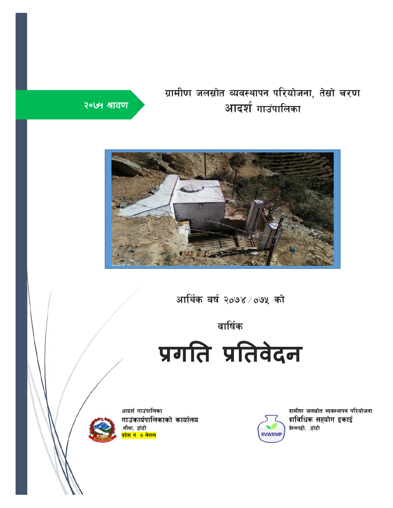# ग्रामीण जलस्रोत व्यवस्थापन परियोजना, तेस्रो चरण <mark>आदर्श</mark> गाउंपालिका





आर्थिक वर्ष २०७४ $\times$ ०७५ को

# वार्षिक

**प्रगित प्रितवेदन**

आदर्श गाउंपालिका गाउंकार्यपालिकाको कार्यालय .मौवा, डोटी <mark>प्रदेश नं. ७ नेपाल</mark>



ग्रामीण जलस्रोत व्यवस्थापन परियोजना प्राविधिक सहयोग इकाई सिलगढी, .डोटी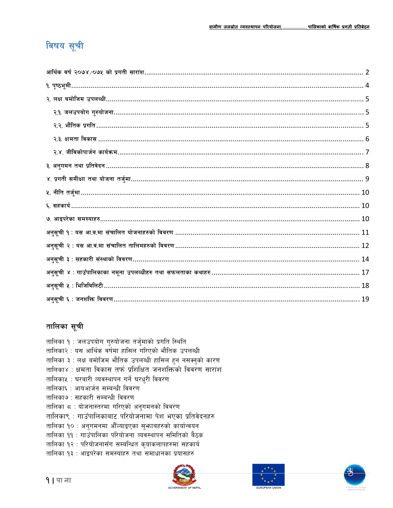# विषय सूची

| अनुसूची २ : यस आ.व.मा संचालित तालिमहरुको विवरण…………………………………………………………………………………… 12        |
|------------------------------------------------------------------------------------------|
|                                                                                          |
| अनुसूची ४ : गाउँपालिकाका नमूना उपलब्धीहरु तथा सफलताका कथाहरु ……………………………………………………………… 17 |
|                                                                                          |
|                                                                                          |

# तालिका सूची

तालिका १ : जलउपयोग गुरुयोजना तर्जुमाको प्रगति स्थिति तालिका२ : यस आर्थिक वर्षमा हासिल गरिएको भौतिक उपलब्धी तालिका ३ : लक्ष बमोजिम भौतिक उपलब्धी हासिल हुन नसक्नुको कारण तालिका४ : क्षमता विकास तर्फ प्रशिक्षित जनशक्तिको विवरण सारांश तालिकाप्र : घरबारी व्यवस्थापन गर्ने घरधुरी विवरण तालिका६ : आयआर्जन सम्बन्धी विवरण तालिका७ : सहकारी सम्बन्धी विवरण तालिका ८ : योजनास्तरमा गरिएको अनुगमनको विवरण तालिका९ : गाउँपालिकाबाट परियोजनामा पेश भएका प्रतिवेदनहरु तालिका १० : अनुगमनमा औँल्याइएका सुभाबहरुको कार्यान्वयन तालिका ११ : गाउँपालिका परियोजना व्यवस्थापन समितिको बैठक तालिका १२ : परियोजनासँग सम्बन्धित कृयाकलापहरुमा सहकार्य तालिका १३ : आइपरेका समस्याहरु तथा समाधानका प्रयासहरु





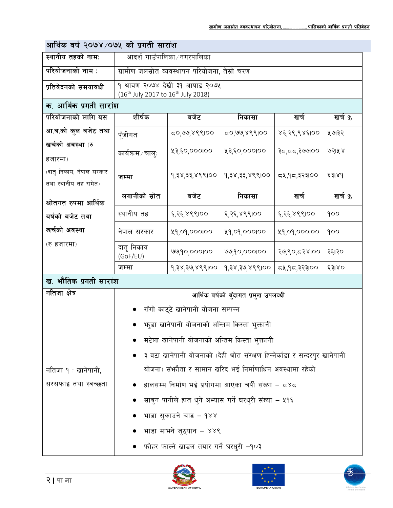# आर्थिक वर्ष २०७४/०७५ को प्रगती सारांश

| स्थानीय तहको नाम:                                |                        | आदर्श गाउँपालिका ∕ नगरपालिका                                                                  |                                      |              |        |  |  |  |  |
|--------------------------------------------------|------------------------|-----------------------------------------------------------------------------------------------|--------------------------------------|--------------|--------|--|--|--|--|
| परियोजनाको नाम :                                 |                        | ग्रामीण जलस्रोत व्यवस्थापन परियोजना, तेस्रो चरण                                               |                                      |              |        |  |  |  |  |
| प्रतिवेदनको समयावधी                              |                        | १ श्रावण २०७४ देखी ३१ आषाढ २०७५<br>(16 <sup>th</sup> July 2017 to 16 <sup>th</sup> July 2018) |                                      |              |        |  |  |  |  |
| क. आर्थिक प्रगती सारांश                          |                        |                                                                                               |                                      |              |        |  |  |  |  |
| परियोजनाको लागि यस                               | शीर्षक                 | बजेट                                                                                          | निकासा                               | खर्च         | खर्च % |  |  |  |  |
| आ.ब.को कुल बजेट तथा                              | पूँजीगत                | ८०,७७,४९९।००                                                                                  | ८०,७७,४९९।००                         | ४६,२९,९४६।०० | ५७।३२  |  |  |  |  |
| खर्चको अवस्था (रु<br>हजारमा)                     | कार्यक्रम ∕ चालुः      | ५३,६०,०००।००                                                                                  | ५३,६०,०००।००                         | ३८,८८,३७७००  | ७२।५४  |  |  |  |  |
| (दातृ निकाय, नेपाल सरकार<br>तथा स्थानीय तह समेत) | जम्मा                  | १,३४,३३,४९९।००                                                                                | १,३४,३३,४९९।००                       | ८५,१८,३२३।०० | ६३।४१  |  |  |  |  |
| श्रोतगत रुपमा आर्थिक                             | लगानीको स्रोत          | बजेट                                                                                          | निकासा                               | खर्च         | खर्च % |  |  |  |  |
| बर्षको बजेट तथा                                  | स्थानीय तह             | ६,२६,४९९।००                                                                                   | ६,२६,४९९।००                          | ६,२६,४९९।००  | ၅၀၀    |  |  |  |  |
| खर्चको अवस्था                                    | नेपाल सरकार            | ५१,०१,०००।००                                                                                  | ५१,०१,०००।००                         | ५१,०१,०००।०० | ရ၀၀    |  |  |  |  |
| (रु हजारमा)                                      | दातृ निकाय<br>(GoF/EU) | ७७,१०,०००।००                                                                                  | ७७,१०,०००।००                         | २७,९०,८२४।०० | ३६।२०  |  |  |  |  |
|                                                  | जम्मा                  | १,३४,३७,४९९।००                                                                                | १,३४,३७,४९९।००                       | ८५,१८,३२३।०० | ६३१४०  |  |  |  |  |
| ख. भौतिक प्रगती सारांश                           |                        |                                                                                               |                                      |              |        |  |  |  |  |
| नतिजा क्षेत्र                                    |                        |                                                                                               | आर्थिक वर्षको बुँदागत प्रमुख उपलव्धी |              |        |  |  |  |  |
|                                                  |                        | राँगो काट्टे खानेपानी योजना सम्पन्न                                                           |                                      |              |        |  |  |  |  |
|                                                  |                        | भाडुा खानेपानी योजनाको अन्तिम किस्ता भुक्तानी                                                 |                                      |              |        |  |  |  |  |
|                                                  |                        | मटेला खानेपानी योजनाको अन्तिम किस्ता भुक्तानी                                                 |                                      |              |        |  |  |  |  |
|                                                  |                        | ३ वटा खानेपानी योजनाको (देही श्रोत संरक्षण हिन्नेकाँडा र सन्दरपुर खानेपानी                    |                                      |              |        |  |  |  |  |
| र्नातजा १ : खानेपानी,                            |                        | योजना) संभाैता र सामान खरिद भई निर्माणाधिन अवस्थामा रहेको                                     |                                      |              |        |  |  |  |  |
| सरसफाइ तथा स्वच्छता                              |                        | हालसम्म निर्माण भई प्रयोगमा आएका चर्पी संख्या – ८४८                                           |                                      |              |        |  |  |  |  |
|                                                  |                        | साब्न पानीले हात धुने अभ्यास गर्ने घरधुरी संख्या – ५१६                                        |                                      |              |        |  |  |  |  |
|                                                  |                        | भाडा सुकाउने चाङ – १४४                                                                        |                                      |              |        |  |  |  |  |
|                                                  |                        | भाडा माभ्ने जुठ्यान – ४४९                                                                     |                                      |              |        |  |  |  |  |
|                                                  |                        | फोहर फाल्ने खाडल तयार गर्ने घरधुरी -१०३                                                       |                                      |              |        |  |  |  |  |





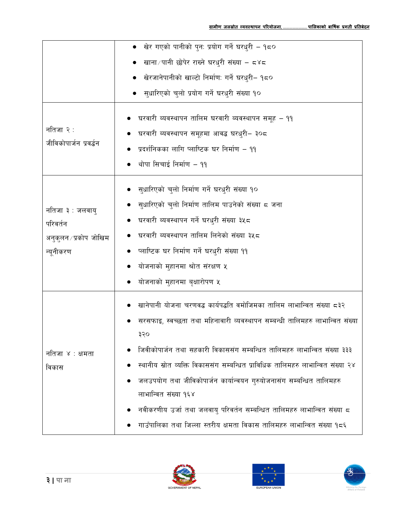|                                                                     | ●   खेर गएको पानीको पुन: प्रयोग गर्ने घरधुरी – १८०                                                                                                                                                                                                                                                                                                                                                                                                                                                                                                                                  |
|---------------------------------------------------------------------|-------------------------------------------------------------------------------------------------------------------------------------------------------------------------------------------------------------------------------------------------------------------------------------------------------------------------------------------------------------------------------------------------------------------------------------------------------------------------------------------------------------------------------------------------------------------------------------|
|                                                                     | _ खाना ⁄ पानी छोपेर राख्ने घरधुरी संख्या – ८४८                                                                                                                                                                                                                                                                                                                                                                                                                                                                                                                                      |
|                                                                     | _ खेरजानेपानीको खाल्टो निर्माण: गर्ने घरधुरी– १८०                                                                                                                                                                                                                                                                                                                                                                                                                                                                                                                                   |
|                                                                     | सुधारिएको चुलो प्रयोग गर्ने घरधुरी संख्या १०                                                                                                                                                                                                                                                                                                                                                                                                                                                                                                                                        |
| नतिजा २ :<br>जीविकोपार्जन प्रवर्द्धन                                | घरवारी ब्यवस्थापन तालिम घरवारी ब्यवस्थापन समूह – ११<br>घरवारी ब्यवस्थापन समूहमा आवद्ध घरधुरी– ३०८<br>प्रदर्शनिकका लागि प्लाष्टिक घर निर्माण – ११<br>थोपा सिचाई निर्माण – ११                                                                                                                                                                                                                                                                                                                                                                                                         |
| नतिजा ३ : जलवायु<br>परिवर्तन<br>अनुकुलन ∕ प्रकोप जोखिम<br>न्यूनीकरण | सुधारिएको चुलो निर्माण गर्ने घरधुरी संख्या १०<br>सुधारिएको चुलो निर्माण तालिम पाउनेको संख्या ८ जना<br>घरवारी ब्यवस्थापन गर्ने घरधुरी संख्या ३५८<br>घरवारी ब्यवस्थापन तालिम लिनेको संख्या ३५८<br>प्लाष्टिक घर निर्माण गर्ने घरधुरी संख्या ११                                                                                                                                                                                                                                                                                                                                         |
|                                                                     | योजनाको मुहानमा श्रोत संरक्षण ५                                                                                                                                                                                                                                                                                                                                                                                                                                                                                                                                                     |
|                                                                     | योजनाको मुहानमा बृक्षारोपण ५                                                                                                                                                                                                                                                                                                                                                                                                                                                                                                                                                        |
| नतिजा ४ : क्षमता<br>विकास                                           | खानेपानी योजना चरणवद्ध कार्यपद्धति वमोजिमका तालिम लाभान्वित संख्या ८३२<br>सरसफाइ, स्वच्छता तथा महिनावारी व्यवस्थापन सम्बन्धी तालिमहरु लाभान्वित संख्या<br>३२०<br>जिवीकोपार्जन तथा सहकारी विकाससंग सम्बन्धित तालिमहरु लाभान्वित संख्या ३३३<br>स्थानीय स्रोत व्यक्ति विकाससंग सम्बन्धित प्राविधिक तालिमहरु लाभान्वित संख्या २४<br>जलउपयोग तथा जीविकोपार्जन कार्यान्वयन गुरुयोजनासंग सम्बन्धित तालिमहरु<br>लाभान्वित संख्या १६४<br>नवीकरणीय उर्जा तथा जलवायु परिवर्तन सम्बन्धित तालिमहरु लाभान्वित संख्या ८<br>गाउँपालिका तथा जिल्ला स्तरीय क्षमता विकास तालिमहरु लाभान्वित संख्या १८६ |





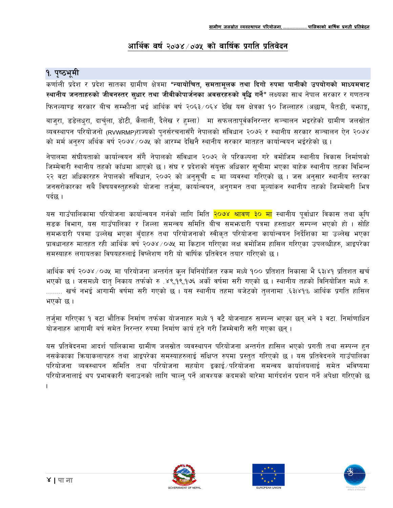## आर्थिक वर्ष २०७४ ∕ ०७५ को वार्षिक प्रगति प्रतिवेदन

## १. पृष्ठभूमी

कर्णाली प्रदेश र प्रदेश सातका ग्रामीण क्षेत्रमा <mark>"न्यायोचित, समतामूलक तथा दिगो रुपमा पानीको उपयोगको माध्यमवाट</mark> स्थानीय जनताहरुको जीवनस्तर सुधार तथा जीवीकोपार्जनका अवसरहरुको वृद्धि गर्ने" लक्ष्यका साथ नेपाल सरकार र गणतन्त्र फिनल्याण्ड सरकार बीच सम्फौता भई आर्थिक वर्ष २०६३/०६४ देखि यस क्षेत्रका १० जिल्लाहरु (अछाम, बैतडी, बफाङ्ग, बाज्रा, डडेलधुरा, दार्चुला, डोटी, कैलाली, दैलेख र हम्ला) मा सफलतापूर्वकनिरन्तर सञ्चालन भइरहेको ग्रामीण जलस्रोत व्यवस्थापन परियोजनो (RVWRMP)राज्यको पुनर्सरचनासँगै नेपालको संविधान २०७२ र स्थानीय सरकार सञ्चालन ऐन २०७४ को मर्म अनुरुप अर्थिक वर्ष २०७४/०७५ को आरम्भ देखिनै स्थानीय सरकार मातहत कार्यान्वयन भईरहेको छ।

नेपालमा संघीयताको कार्यान्वयन सँगै नेपालको संविधान २०७२ ले परिकल्पना गरे वमोजिम स्थानीय विकास निर्माणको जिम्मेवारी स्थानीय तहको काँधमा आएको छ । संघ र प्रदेशको संयक्त अधिकार सूचीमा भएका बाहेक स्थानीय तहका विभिन्न २२ वटा अधिकारहरु नेपालको संविधान, २०७२ को अनुसूची ८ मा व्यवस्था गरिएको छ । जस अनुसार स्थानीय स्तरका जनसरोकारका सबै विषयवस्तुहरुको योजना तर्जुमा, कार्यान्वयन, अनुगमन तथा मूल्यांकन स्थानीय तहको जिम्मेवारी भित्र पर्दछ ।

यस गाउँपालिकामा परियोजना कार्यान्वयन गर्नको लागि मिति <mark>२०७४ श्रावण ३० मा</mark> स्थानीय पुर्वाधार विकास तथा कृषि सडक विभाग, यस गाउँपालिका र जिल्ला समन्वय समिति बीच समभ्रुदारी पत्रमा हस्ताक्षर सम्पन्न भएको हो । सोहि समभ्रुदारी पत्रमा उल्लेख भएका बुँदाहरु तथा परियोजनाको स्वीकृत परियोजना कार्यान्वयन निर्देशिका मा उल्लेख भएका प्रावधानहरु मातहत रही आर्थिक वर्ष २०७४ ⁄ ०७५ मा किटान गरिएका लक्ष वमोजिम हासिल गरिएका उपलब्धीहरु, आइपरेका समस्याहरु लगायतका विषयहरुलाई विष्लेशण गरी यो वार्षिक प्रतिवेदन तयार गरिएको छ ।

आर्थिक वर्ष २०७४ ⁄ ०७५ मा परियोजना अन्तर्गत कुल बिनियोजित रकम मध्ये १०० प्रतिशत निकासा भै ६३।४१ प्रतिशत खर्च भएको छ । जसमध्ये दातु निकाय तर्फको रु .४९,१९,१७६ अर्को वर्षमा सरी गएको छ । स्थानीय तहको विनियोजित मध्ये रु. ........ खर्च नभई आगामी वर्षमा सरी गएको छ । यस स्थानीय तहमा बजेटको तुलनामा .६३।४१% आर्थिक प्रगति हासिल भएको छ।

तर्जुमा गरिएका १ वटा भौतिक निर्माण तर्फका योजनाहरु मध्ये १ वटै योजनाहरु सम्पन्न भएका छन् भने ३ वटा. निर्माणाधिन योजनाहरु आगामी बर्ष समेत निरन्तर रुपमा निर्माण कार्य हुने गरी जिम्मेवारी सरी गएका छन्।

यस प्रतिवेदनमा आदर्श पालिकामा ग्रामीण जलस्रोत व्यवस्थापन परियोजना अन्तर्गत हासिल भएको प्रगती तथा सम्पन्न हुन नसकेकाका कियाकलापहरु तथा आइपरेका समस्याहरुलाई संक्षिप्त रुपमा प्रस्तुत गरिएको छ । यस प्रतिवेदनले गाउँपालिका परियोजना व्यवस्थापन समिति तथा परियोजना सहयोग इकाई परियोजना समन्वय कार्यालयलाई समेत भविष्यमा परियोजनालाई थप प्रभावकारी बनाउनको लागि चाल्न् पर्ने आवश्यक कदमको बारेमा मार्गदर्शन प्रदान गर्ने अपेक्षा गरिएको छ



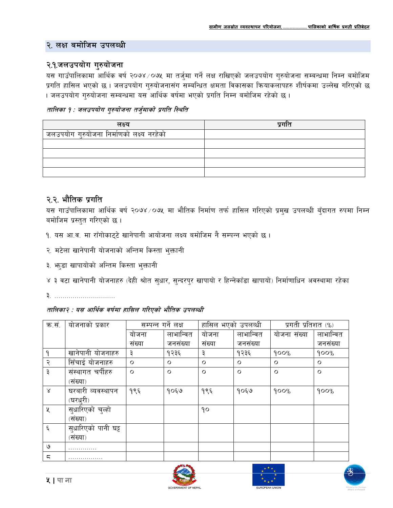### २. लक्ष बमोजिम उपलब्धी

### २.१.जलउपयोग गुरुयोजना

यस गाउँपालिकामा आर्थिक वर्ष २०७४/०७५ मा तर्जुमा गर्ने लक्ष राखिएको जलउपयोग गुरुयोजना सम्बन्धमा निम्न बमोजिम प्रगति हासिल भएको छ । जलउपयोग गुरुयोजनासंग सम्बन्धित क्षमता विकासका क्रियाकलापहरु शीर्षकमा उल्लेख गरिएको छ । जलउपयोग गुरुयोजना सम्बन्धमा यस आर्थिक वर्षमा भएको प्रगति निम्न बमोजिम रहेको छ ।

#### तालिका १ : जलउपयोग गरुयोजना तर्जमाको प्रगति स्थिति

| लक्ष्य                                    | प्रगात |
|-------------------------------------------|--------|
| जलउपयोग गुरुयोजना निर्माणको लक्ष्य नरहेको |        |
|                                           |        |
|                                           |        |
|                                           |        |
|                                           |        |

## २.२. भौतिक प्रगति

यस गाउँपालिकामा आर्थिक वर्ष २०७४ ⁄ ०७५ मा भौतिक निर्माण तर्फ हासिल गरिएको प्रमुख उपलब्धी बुँदागत रुपमा निम्न बमोजिम प्रस्तुत गरिएको छ।

- १. यस आ.व. मा राँगोकाट्टे खानेपानी आयोजना लक्ष्य बमोजिम नै सम्पन्न भएको छ।
- २. मटेला खानेपानी योजनाको अन्तिम किस्ता भुक्तानी
- ३. भाडा खापायोको अन्तिम किस्ता भुक्तानी
- ४ ३ वटा खानेपानी योजनाहरु (देही श्रोत सुधार, सुन्दरपुर खापायो र हिन्नेकाँडा खापायो) निर्माणाधिन अवस्थामा रहेका
- 

#### तालिका२ : यस आर्थिक वर्षमा हासिल गरिएको भौतिक उपलब्धी

| क.सं.     | योजनाको प्रकार      | सम्पन्न गर्ने लक्ष |           | हासिल भएको उपलव्धी |           | प्रगती प्रतिशत (%) |           |
|-----------|---------------------|--------------------|-----------|--------------------|-----------|--------------------|-----------|
|           |                     | योजना              | लाभान्वित | योजना              | लाभान्वित | योजना संख्या       | लाभान्वित |
|           |                     | संख्या             | जनसंख्या  | संख्या             | जनसंख्या  |                    | जनसंख्या  |
| ٩         | खानेपानी योजनाहरु   | ३                  | १२३६      | ३                  | १२३६      | 900%               | 900%      |
| २         | सिँचाई योजनाहरु     | $\circ$            | $\circ$   | $\circ$            | $\circ$   | $\circ$            | $\circ$   |
| ३         | संस्थागत चर्पीहरु   | $\circ$            | $\circ$   | $\circ$            | $\circ$   | $\circ$            | $\circ$   |
|           | (संख्या)            |                    |           |                    |           |                    |           |
| $\lambda$ | घरबारी व्यवस्थापन   | १९६                | १०६७      | १९६                | १०६७      | 900%               | 900%      |
|           | (घरधुरी)            |                    |           |                    |           |                    |           |
| X         | सुधारिएको चुल्हो    |                    |           | ٩o                 |           |                    |           |
|           | (संख्या)            |                    |           |                    |           |                    |           |
| $\xi$     | सुधारिएको पानी घट्ट |                    |           |                    |           |                    |           |
|           | (संख्या)            |                    |           |                    |           |                    |           |
| ৩         |                     |                    |           |                    |           |                    |           |
| ς         |                     |                    |           |                    |           |                    |           |





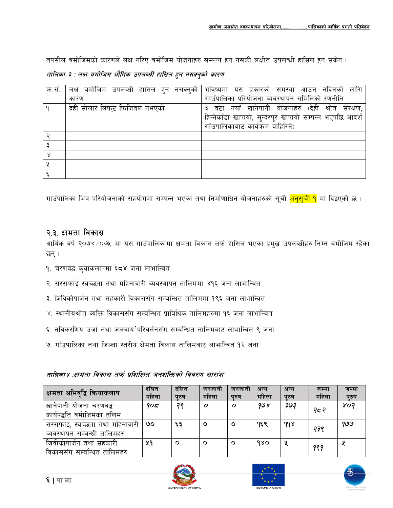तपसील बमोजिमको कारणले लक्ष गरिए बमोजिम योजनाहरु सम्पन्न हुन नसकी लक्षीत उपलब्धी हासिल हुन सकेन ।

तालिका ३ : लक्ष बमोजिम भौतिक उपलब्धी हासिल हुन नसक्नुको कारण

| क.सं. | लक्ष बमोजिम उपलव्धी हासिल हुन नसक्नुको | लागि<br>भविष्यमा यस प्रकारको समस्या आउन नदिनको           |
|-------|----------------------------------------|----------------------------------------------------------|
|       | कारण                                   | गाउँपालिका परियोजना व्यवस्थापन समितिको रणनीति            |
|       | देही सोलार लिफ्ट फिजिवल नभएको          | ३ वटा नयाँ खानेपानी योजनाहरु (देही श्रोत संरक्षण,        |
|       |                                        | हिन्नेकाँडा खापायो, सुन्दरपुर खापायो सम्पन्न भएपछि आदर्श |
|       |                                        | गाँउपालिकाबाट कार्यक्रम वाहिरिने)                        |
|       |                                        |                                                          |
|       |                                        |                                                          |
|       |                                        |                                                          |
|       |                                        |                                                          |
|       |                                        |                                                          |

गाउँपालिका भित्र परियोजनाको सहयोगमा सम्पन्न भएका तथा निर्माणाधिन योजनाहरुको सूची <mark>अनूसुची १</mark> मा दिइएको छ ।

### २.३. क्षमता विकास

आर्थिक वर्ष २०७४ ⁄ ०७५ मा यस गाउँपालिकामा क्षमता विकास तर्फ हासिल भएका प्रमुख उपलब्धीहरु निम्न बमोजिम रहेका छन् ।

- १. चरणवद्ध कृयाकलापमा ६८४ जना लाभान्वित
- २. सरसफाई स्वच्छता तथा महिनावारी ब्यवस्थापन तालिममा ४१६ जना लाभान्वित
- ३. जिविकोपार्जन तथा सहकारी विकाससंग सम्बन्धित तालिममा १९६ जना लाभान्वित
- ४. स्थानीयश्रोत ब्यक्ति विकाससंग सम्बन्धित प्राबिधिक तालिमहरुमा १६ जना लाभान्वित
- ६. नविकरणिय उर्जा तथा जलवाय'परिवर्तनसंग सम्बन्धित तालिमबाट लाभान्वित ९ जना
- ७. गाँउपालिका तथा जिल्ला स्तरीय क्षेमता विकास तालिमबाट लाभान्वित १२ जना

#### तालिका४ :क्षमता विकास तर्फ प्रशिक्षित जनशक्तिको विवरण सारांश

| क्षमता अभिवृद्धि क्रियाकलाप                                    | दलित<br>महिला | दलित<br>पुरुष | जनजाता<br>महिला  | जनजाता<br>परुष | अन्य<br>महिला | अन्य<br>परुष | जम्मा<br>महिला | जम्मा<br>प्रुष |
|----------------------------------------------------------------|---------------|---------------|------------------|----------------|---------------|--------------|----------------|----------------|
| खानेपानी योजना चरणवद्ध                                         | 905           | २९            | $\boldsymbol{o}$ | Ο              | 998           | چٯج          | २८२            | ४०२            |
| कार्यपद्धति वमोजिमका तलिम                                      |               |               |                  |                |               |              |                |                |
| सरसफाइ, स्वच्छता तथा महिनावारी<br>व्यवस्थापन सम्बन्धी तालिमहरु | ७०            | ६३            | $\mathbf{o}$     | $\circ$        | १६९           | $d\delta$    | २३९            | 99 ق           |
| जिवीकोपार्जन तथा सहकारी                                        | ५१            | $\mathbf{o}$  | $\mathbf{o}$     | $\mathbf{o}$   | १४०           | X            |                |                |
| विकाससंग सम्बन्धित तालिमहरु                                    |               |               |                  |                |               |              | 999            |                |





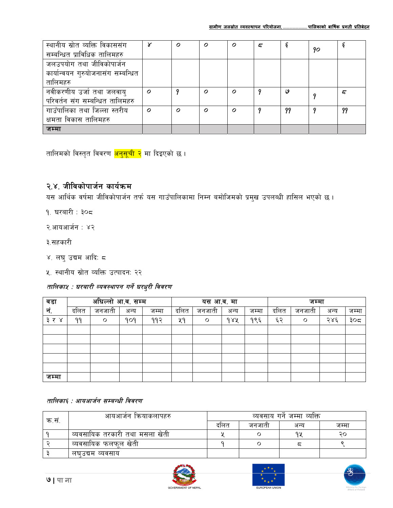| स्थानीय स्रोत व्यक्ति विकाससंग     | Y                | Ο        | $\boldsymbol{o}$ | $\boldsymbol{O}$ | ζ |    | 90 |    |
|------------------------------------|------------------|----------|------------------|------------------|---|----|----|----|
| सम्बन्धित प्राविधिक तालिमहरु       |                  |          |                  |                  |   |    |    |    |
| जलउपयोग तथा जीविकोपार्जन           |                  |          |                  |                  |   |    |    |    |
| कार्यान्वयन गुरुयोजनासंग सम्बन्धित |                  |          |                  |                  |   |    |    |    |
| तालिमहरु                           |                  |          |                  |                  |   |    |    |    |
| नवीकरणीय उर्जा तथा जलवायु          | $\boldsymbol{o}$ |          | $\boldsymbol{O}$ | $\boldsymbol{O}$ |   | ٯ  |    |    |
| परिवर्तन संग सम्बन्धित तालिमहरु    |                  |          |                  |                  |   |    |    |    |
| गाउँपालिका तथा जिल्ला स्तरीय       | $\mathcal{O}$    | $\Omega$ | Ο                | $\boldsymbol{O}$ |   | 99 |    | 99 |
| क्षमता विकास तालिमहरु              |                  |          |                  |                  |   |    |    |    |
| जम्मा                              |                  |          |                  |                  |   |    |    |    |

तालिमको विस्तृत विवरण <mark>अनुसूची २</mark> मा दिइएको छ ।

## २.४. जीविकोपार्जन कार्यक्रम

यस आर्थिक वर्षमा जीविकोपार्जन तर्फ यस गाउँपालिकामा निम्न बमोजिमको प्रमुख उपलब्धी हासिल भएको छ ।

- १. घरबारी ∶ ३०८
- २.आयआर्जन : ४२
- ३.सहकारी
- ४. लघु उद्यम आदिः ८
- ५. स्थानीय स्रोत व्यक्ति उत्पादन: २२

## तालिकाश् : घरबारी व्यवस्थापन गर्ने घरधुरी विवरण

| वडा   |      | अघिल्लो आ.व. सम्म |      |       |      | यस आ.व. मा |      |       | जम्मा |        |      |       |
|-------|------|-------------------|------|-------|------|------------|------|-------|-------|--------|------|-------|
| र्न.  | दलित | जनजाती            | अन्य | जम्मा | दलित | जनजाती     | अन्य | जम्मा | दलित  | जनजाती | अन्य | जम्मा |
| ३ र ४ | ۹۹   | $\circ$           | १०१  | ११२   | ५१   | $\circ$    | dAA  | १९६   | ६२    | O      | २४६  | ३०८   |
|       |      |                   |      |       |      |            |      |       |       |        |      |       |
|       |      |                   |      |       |      |            |      |       |       |        |      |       |
|       |      |                   |      |       |      |            |      |       |       |        |      |       |
|       |      |                   |      |       |      |            |      |       |       |        |      |       |
|       |      |                   |      |       |      |            |      |       |       |        |      |       |
| जम्मा |      |                   |      |       |      |            |      |       |       |        |      |       |

तालिका६ : आयआर्जन सम्बन्धी विवरण

| क.स | आयआजेन कियाकलापहरु             | व्यवसाय गर्न जम्मा व्यक्ति |        |      |       |  |  |
|-----|--------------------------------|----------------------------|--------|------|-------|--|--|
|     |                                | दालत                       | जनजाती | अन्य | जम्मा |  |  |
|     | व्यवसायिक तरकारी तथा मसला खेती |                            |        | 9 Y  | २०    |  |  |
|     | व्यवसायिक फलफल खेती            |                            |        |      |       |  |  |
|     | लघउद्यम व्यवसाय                |                            |        |      |       |  |  |







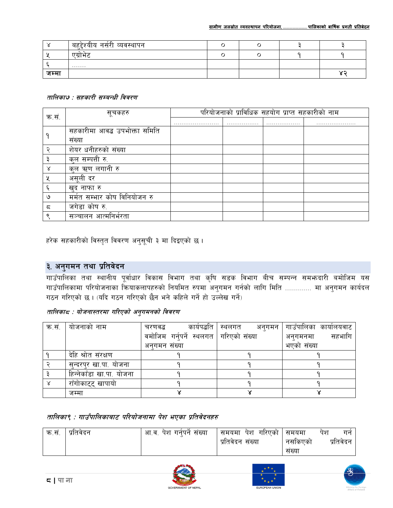|       | C.<br>नसरी व्यवस्थापन<br>बहद्रश्याय |  |  |
|-------|-------------------------------------|--|--|
|       | एग्राभट                             |  |  |
|       | .                                   |  |  |
| जम्मा |                                     |  |  |

#### तालिका७ : सहकारी सम्बन्धी विवरण

| क.सं. | सूचकहरु                       | परियोजनाको प्राविधिक सहयोग प्राप्त सहकारीको नाम |   |   |  |  |  |  |
|-------|-------------------------------|-------------------------------------------------|---|---|--|--|--|--|
|       |                               |                                                 | . | . |  |  |  |  |
|       | सहकारीमा आवद्ध उपभोक्ता समिति |                                                 |   |   |  |  |  |  |
|       | सख्या                         |                                                 |   |   |  |  |  |  |
|       | शेयर धनीहरुको संख्या          |                                                 |   |   |  |  |  |  |
|       | कुल सम्पत्ती रु.              |                                                 |   |   |  |  |  |  |
| ४     | कुल ऋण लगानी रु               |                                                 |   |   |  |  |  |  |
| X     | असूली दर                      |                                                 |   |   |  |  |  |  |
|       | खुद नाफा रु                   |                                                 |   |   |  |  |  |  |
| ৩     | मर्मत सम्भार कोष विनियोजन रु  |                                                 |   |   |  |  |  |  |
| ς     | जगेडा कोष रु.                 |                                                 |   |   |  |  |  |  |
|       | सञ्चालन आत्मनिर्भरता          |                                                 |   |   |  |  |  |  |

हरेक सहकारीको विस्तृत विवरण अनुसूची ३ मा दिइएको छ ।

# ३. अनुगमन तथा प्रतिवेदन

गाउँपालिका तथा स्थानीय पूर्वाधार विकास विभाग तथा कृषि सडक विभाग बीच सम्पन्न सम**फदारी बमोजिम यस** गाउँपालिकामा परियोजनाका कियाकलापहरुको नियमित रुपमा अनुगमन गर्नको लागि मिति ............. मा अनुगमन कार्यदल गठन गरिएको छ। (यदि गठन गरिएको छैन भने कहिले गर्ने हो उल्लेख गर्ने)

### तालिकाद : योजनास्तरमा गरिएको अनुगमनको विवरण

| क.सं. | योजनाको नाम              | कार्यपद्धति<br>चरणवद्ध                   | स्थलगत अनुगमन | गाउँपालिका कार्यालयवाट |
|-------|--------------------------|------------------------------------------|---------------|------------------------|
|       |                          | वमोजिम गर्नुपर्ने स्थलगत   गरिएको संख्या |               | सहभागि<br>अनगमनमा      |
|       |                          | अनगमन संख्या                             |               | भएको संख्या            |
|       | देहि श्रोत संरक्षण       |                                          |               |                        |
|       | सन्दरपर खा.पा. योजना     |                                          |               |                        |
|       | हिन्नेकाँडा खा.पा. योजना |                                          |               |                        |
|       | राँगोकाट्ट् खापायो       |                                          |               |                        |
|       | जम्मा                    |                                          |               |                        |

#### तालिका९ : गाउँपालिकाबाट परियोजनामा पेश भएका प्रतिवेदनहरु

| क.सं. | प्रतिवेदन | आ.व. पेश गर्नपर्न संख्या | <sup>।</sup> समयमा  पेश  गरिएको   समयमा | पंश<br>गन            |
|-------|-----------|--------------------------|-----------------------------------------|----------------------|
|       |           |                          | प्रतिवेदन संख्या                        | प्रतिवेदन<br>नसकिएको |
|       |           |                          |                                         | सख्या                |





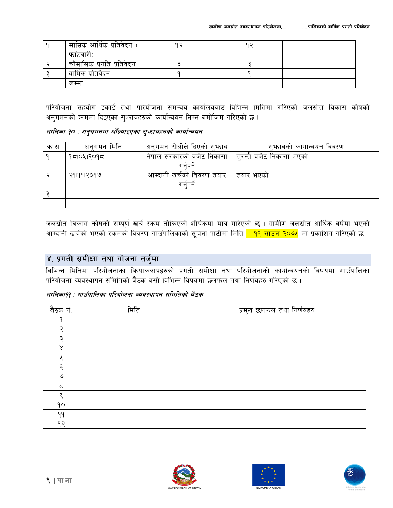| मासिक आर्थिक प्रतिवेदन   | ດ ລ | ດ ລ |  |
|--------------------------|-----|-----|--|
| फाँटबारी)                |     |     |  |
| चौमासिक प्रगति प्रतिवेदन |     |     |  |
| वार्षिक प्रतिवेदन        |     |     |  |
| जम्मा                    |     |     |  |

परियोजना सहयोग इकाई तथा परियोजना समन्वय कार्यालयवाट विभिन्न मितिमा गरिएको जलस्रोत विकास कोषको अनुगमनको क्रममा दिइएका सुभावहरुको कार्यान्वयन निम्न बमोजिम गरिएको छ।

### तालिका १० : अनुगमनमा औँल्याइएका सुभ्राबहरुको कार्यान्वयन

| क.सं. | अनगमन मिति | अनुगमन टोलीले दिएको सुभ्जाब | सुभ्रावको कार्यान्वयन विवरण |
|-------|------------|-----------------------------|-----------------------------|
|       | १८१०५१२०१८ | नेपाल सरकारको वजेट निकासा   | तुरुन्तै वजेट निकासा भएको   |
|       |            | गनेपने                      |                             |
|       | २११११२०१७  | आम्दानी खर्चको विवरण तयार   | तयार भएको                   |
|       |            | गर्नपर्ने                   |                             |
|       |            |                             |                             |
|       |            |                             |                             |

जलस्रोत विकास कोषको सम्पूर्ण खर्च रकम तोकिएको शीर्षकमा मात्र गरिएको छ । ग्रामीण जलस्रोत आर्थिक वर्षमा भएको आम्दानी खर्चको भएको रकमको विवरण गाउँपालिकाको सूचना पाटीमा मिति <mark>....११ साउन २०७५</mark> मा प्रकाशित गरिएको छ ।

# ४. प्रगती समीक्षा तथा योजना तर्जुमा

विभिन्न मितिमा परियोजनाका क्रियाकलापहरुको प्रगती समीक्षा तथा परियोजनाको कार्यान्वयनको विषयमा गाउँपालिका परियोजना व्यवस्थापन समितिको बैठक बसी विभिन्न विषयमा छलफल तथा निर्णयहरु गरिएको छ।

#### तालिका99 : गाउँपालिका परियोजना व्यवस्थापन समितिको बैठक

| बैठक नं.  | मिति | प्रमुख छलफल तथा निर्णयहरु |
|-----------|------|---------------------------|
| n         |      |                           |
| ⊃         |      |                           |
| з         |      |                           |
| $\propto$ |      |                           |
| ५         |      |                           |
| ٤         |      |                           |
| ও         |      |                           |
| ς         |      |                           |
| Q         |      |                           |
| 90        |      |                           |
| 99        |      |                           |
| १२        |      |                           |
|           |      |                           |





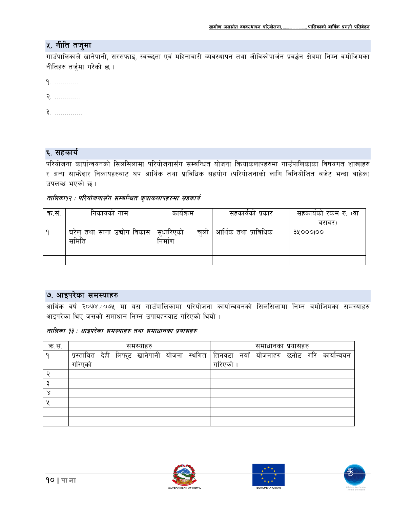## ५. नीति तर्जुमा

गाउँपालिकाले खानेपानी, सरसफाइ, स्वच्छता एवं महिनावारी व्यवस्थापन तथा जीविकोपार्जन प्रवर्द्धन क्षेत्रमा निम्न वमोजिमका नीतिहरु तर्जुमा गरेको छ।

- $9.$  ..............
- **R.** ..............
- <sup>국</sup>. ...............

#### ६. सहकार्य

परियोजना कार्यान्वयनको सिलसिलामा परियोजनासँग सम्बन्धित योजना कियाकलापहरुमा गाउँपालिकाका विषयगत शाखाहरु र अन्य साभेदार निकायहरुबाट थप आर्थिक तथा प्राविधिक सहयोग (परियोजनाको लागि विनियोजित बजेट भन्दा बाहेक) उपलव्ध भएको छ।

#### तालिका१२ : परियोजनासँग सम्बन्धित कुयाकलापहरुमा सहकार्य

| क.सं. | निकायको नाम                 | कायक्रम         | सहकार्यको प्रकार     | सहकार्यको रकम रु. (वा |  |
|-------|-----------------------------|-----------------|----------------------|-----------------------|--|
|       |                             |                 |                      | बराबर)                |  |
|       | घरेलु तथा साना उद्योग विकास | सधारिएको<br>चलो | आर्थिक तथा प्राबिधिक | <b>SXOOOIOO</b>       |  |
|       | समिति                       | निर्माण         |                      |                       |  |
|       |                             |                 |                      |                       |  |
|       |                             |                 |                      |                       |  |

#### ७. आइपरेका समस्याहरु

आर्थिक वर्ष २०७४ ∕०७५ मा यस गाउँपालिकामा परियोजना कार्यान्वयनको सिलसिलामा निम्न बमोजिमका समस्याहरु आइपरेका थिए जसको समाधान निम्न उपायहरुवाट गरिएको थियो।

#### तालिका १३ : आइपरेका समस्याहरु तथा समाधानका प्रयासहरु

| क.सं. |        | समस्याहरु |  |  |  |  |        | समाधानका प्रयासहरु |  |  |  |                                                                                       |
|-------|--------|-----------|--|--|--|--|--------|--------------------|--|--|--|---------------------------------------------------------------------------------------|
| O     |        |           |  |  |  |  |        |                    |  |  |  | प्रस्तावित देही लिफ्ट खानेपानी योजना स्थगित तिनवटा नयाँ योजनाहरु छनोट गरि कार्यान्वयन |
|       | गरिएको |           |  |  |  |  | गरिएको |                    |  |  |  |                                                                                       |
|       |        |           |  |  |  |  |        |                    |  |  |  |                                                                                       |
|       |        |           |  |  |  |  |        |                    |  |  |  |                                                                                       |
|       |        |           |  |  |  |  |        |                    |  |  |  |                                                                                       |
|       |        |           |  |  |  |  |        |                    |  |  |  |                                                                                       |
|       |        |           |  |  |  |  |        |                    |  |  |  |                                                                                       |
|       |        |           |  |  |  |  |        |                    |  |  |  |                                                                                       |





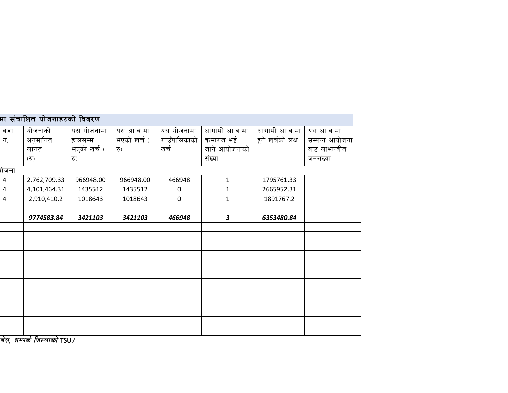|                          | मा संचालित योजनाहरुको विवरण                          |             |             |              |               |                  |                |  |  |  |  |  |
|--------------------------|------------------------------------------------------|-------------|-------------|--------------|---------------|------------------|----------------|--|--|--|--|--|
| वडा                      | योजनाको                                              | यस योजनामा  | यस आ.व.मा   | यस योजनामा   | आगामी आ.व.मा  | आगामी आ.व.मा     | यस आ.व.मा      |  |  |  |  |  |
| नं.                      | अनुमानित                                             | हालसम्म     | भएको खर्च ( | गाउँपालिकाको | कमागत भई      | हुने खर्चको लक्ष | सम्पन्न आयोजना |  |  |  |  |  |
|                          | लागत                                                 | भएको खर्च ( | रु)         | खर्च         | जाने आयोजनाको |                  | बाट लाभान्वीत  |  |  |  |  |  |
|                          | (5)                                                  | रु)         |             |              | संख्या        |                  | जनसंख्या       |  |  |  |  |  |
| गेजना                    |                                                      |             |             |              |               |                  |                |  |  |  |  |  |
| $\overline{4}$           | 2,762,709.33                                         | 966948.00   | 966948.00   | 466948       | $\mathbf{1}$  | 1795761.33       |                |  |  |  |  |  |
| $\overline{4}$           | 4,101,464.31                                         | 1435512     | 1435512     | $\mathbf 0$  | $\mathbf{1}$  | 2665952.31       |                |  |  |  |  |  |
| $\overline{4}$           | 2,910,410.2                                          | 1018643     | 1018643     | $\mathbf 0$  | $\mathbf{1}$  | 1891767.2        |                |  |  |  |  |  |
|                          | 9774583.84                                           | 3421103     | 3421103     | 466948       | 3             | 6353480.84       |                |  |  |  |  |  |
|                          |                                                      |             |             |              |               |                  |                |  |  |  |  |  |
|                          |                                                      |             |             |              |               |                  |                |  |  |  |  |  |
|                          |                                                      |             |             |              |               |                  |                |  |  |  |  |  |
|                          |                                                      |             |             |              |               |                  |                |  |  |  |  |  |
|                          |                                                      |             |             |              |               |                  |                |  |  |  |  |  |
|                          |                                                      |             |             |              |               |                  |                |  |  |  |  |  |
|                          |                                                      |             |             |              |               |                  |                |  |  |  |  |  |
|                          |                                                      |             |             |              |               |                  |                |  |  |  |  |  |
|                          |                                                      |             |             |              |               |                  |                |  |  |  |  |  |
|                          |                                                      |             |             |              |               |                  |                |  |  |  |  |  |
|                          |                                                      |             |             |              |               |                  |                |  |  |  |  |  |
| $\overline{\phantom{a}}$ | $\overline{\phantom{a}}$<br>$\overline{\phantom{0}}$ |             |             |              |               |                  |                |  |  |  |  |  |

*वेस, सम्पर्क जिल्लाको* TSU*)*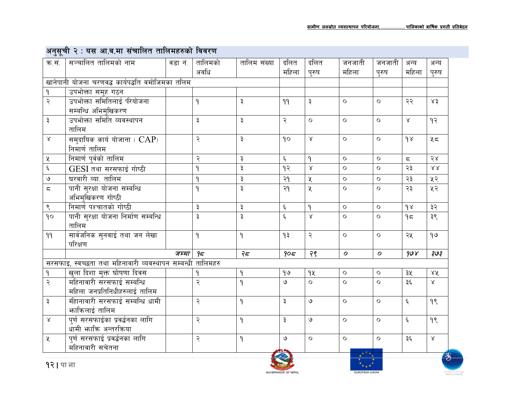|                         | अनुसूचा र : यस आ.व.मा सचाालत ताालमहरुका ।ववरण               |         |              |               |                    |                    |                  |                  |                          |                  |
|-------------------------|-------------------------------------------------------------|---------|--------------|---------------|--------------------|--------------------|------------------|------------------|--------------------------|------------------|
| क.सं.                   | सञ्चालित तालिमको नाम                                        | वडा नं. | तालिमको      | तालिम संख्या  | दलित               | दलित               | जनजाती           | जनजाती           | अन्य                     | अन्य             |
|                         |                                                             |         | अवधि         |               | महिला              | पुरुष              | महिला            | पुरुष            | महिला                    | पुरुष            |
|                         | खानेपानी योजना चरणवद्ध कार्यपद्धति वमोजिमका तलिम            |         |              |               |                    |                    |                  |                  |                          |                  |
| ٩                       | उपभोक्ता समुह गठन                                           |         |              |               |                    |                    |                  |                  |                          |                  |
| २                       | उपभोक्ता समितिलाई परयोजना                                   |         | ۹            | ३             | 99                 | ३                  | $\circ$          | $\circ$          | २२                       | x3               |
|                         | सम्बन्धि अभिमुखिकरण                                         |         |              |               |                    |                    |                  |                  |                          |                  |
| $\vec{\star}$           | उपभोक्ता समिति व्यवस्थापन                                   |         | ३            | ३             | २                  | $\circ$            | $\circ$          | $\circ$          | $\propto$                | 93               |
|                         | तालिम                                                       |         |              |               |                    |                    |                  |                  |                          |                  |
| $\propto$               | समुदायिक कार्य योजाना $( CAP)$                              |         | २            | ३             | 90                 | $\lambda$          | $\circ$          | $\circ$          | 98                       | 45               |
|                         | निमार्ण तालिम                                               |         |              |               |                    |                    |                  |                  |                          |                  |
| $\pmb{\mathsf{X}}$      | निमार्ण पुर्वको तालिम                                       |         | २            | $\vec{\star}$ | ६                  | ٩                  | $\circ$          | $\circ$          | $\overline{\phantom{a}}$ | 58               |
| $\boldsymbol{\xi}$      | GESI तथा सरसफाई गोष्ठी                                      |         | ٩            | ३             | १२                 | $\propto$          | $\circ$          | $\circ$          | २३                       | $\lambda\lambda$ |
| $\mathcal{O}$           | घरवारी व्या. तालिम                                          |         | $\mathsf{P}$ | $\vec{\star}$ | २१                 | $\pmb{\mathsf{X}}$ | $\circ$          | $\circ$          | २३                       | ५२               |
| $\overline{\mathsf{c}}$ | पानी सुरक्षा योजना सम्बन्धि                                 |         | ٩            | $\vec{\star}$ | २१                 | $\chi$             | $\circ$          | $\Omega$         | २३                       | ५२               |
|                         | अभिमुखिकरण गोष्ठी                                           |         |              |               |                    |                    |                  |                  |                          |                  |
| $\zeta$                 | निमार्ण पश्चातको गोष्ठी                                     |         | ३            | ३             | $\xi$              | $\mathsf{P}$       | $\circ$          | $\circ$          | $\gamma$                 | ३२               |
| 90                      | पानी सुरक्षा योजना निर्माण सम्बन्धि                         |         | ३            | $\vec{\star}$ | $\boldsymbol{\xi}$ | $\propto$          | $\circ$          | $\circ$          | 95                       | ३९               |
|                         | तालिम                                                       |         |              |               |                    |                    |                  |                  |                          |                  |
| 99                      | सार्वजनिक सुनवाई तथा जन लेखा                                |         | ۹            | $\mathsf{P}$  | ۹३                 | २                  | $\circ$          | $\circ$          | २५                       | 99               |
|                         | परिक्षण                                                     |         |              |               |                    |                    |                  |                  |                          |                  |
|                         |                                                             | जम्मा   | 95           | 75            | 905                | २९                 | $\boldsymbol{o}$ | $\boldsymbol{o}$ | 908                      | چ⊎چ              |
|                         | सरसफाइ, स्वच्छता तथा महिनावारी व्यवस्थापन सम्बन्धी तालिमहरु |         |              |               |                    |                    |                  |                  |                          |                  |
| $\mathsf{P}$            | <u>खला दिशा मुक्त घोषणा दिवस</u>                            |         | ٩            | ۹             | 90                 | qy                 | $\circ$          | $\circ$          | ३५                       | $X\tilde{X}$     |
| २                       | महिनावारी सरसफाई सम्बन्धि                                   |         | २            | $\mathsf{P}$  | ও                  | $\circ$            | $\circ$          | $\circ$          | ३६                       | $\propto$        |
|                         | महिला जनप्रतिनिधीहरुलाई तालिम                               |         |              |               |                    |                    |                  |                  |                          |                  |
| ३                       | मीहानावारी सरसफाई सम्बन्धि धामी                             |         | २            | $\mathsf{P}$  | ३                  | $\mathcal{O}$      | $\circ$          | $\circ$          | $\xi$                    | 98               |
|                         | <b>भाकिलाई तालिम</b>                                        |         |              |               |                    |                    |                  |                  |                          |                  |
| $\propto$               | पुर्ण सरसफाईका प्रवर्द्धनका लागि                            |         | २            | $\mathsf{P}$  | ३                  | $\mathcal{O}$      | $\circ$          | $\circ$          | $\xi$                    | 98               |
|                         | धामी भाकि अन्तरकिया                                         |         |              |               |                    |                    |                  |                  |                          |                  |
| $\mathbf{\mathsf{X}}$   | पुर्ण सरसफाई प्रवर्द्धनका लागि                              |         | २            | $\mathsf{P}$  | ও                  | $\circ$            | $\circ$          | $\Omega$         | ३६                       | $\propto$        |
|                         | महिनावारी सचेतना                                            |         |              |               |                    |                    |                  |                  |                          |                  |
|                         |                                                             |         |              |               |                    |                    |                  |                  |                          |                  |

#### $\overline{a}$ Т.

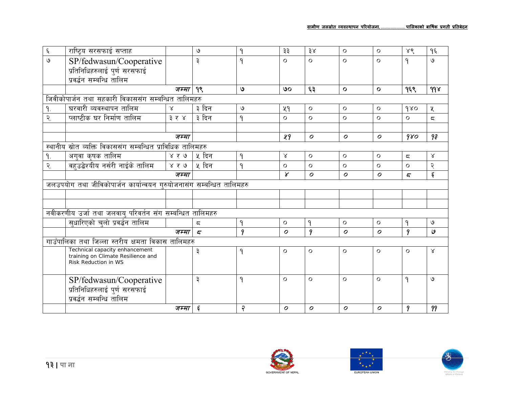| $\boldsymbol{\xi}$    | राष्ट्रिय सरसफाई सप्ताह                                              |              | ৩                       | ٩              | ३३               | 38               | $\circ$          | $\circ$          | ४९                      | १६             |
|-----------------------|----------------------------------------------------------------------|--------------|-------------------------|----------------|------------------|------------------|------------------|------------------|-------------------------|----------------|
| $\mathcal{Q}$         | SP/fedwasun/Cooperative                                              |              | $\vec{v}$               | ٩              | $\Omega$         | $\Omega$         | $\circ$          | $\circ$          | ٩                       | ৩              |
|                       | प्रतिनिधिहरुलाई पुर्ण सरसफाई                                         |              |                         |                |                  |                  |                  |                  |                         |                |
|                       | प्रवर्द्धन सम्बन्धि तालिम                                            |              |                         |                |                  |                  |                  |                  |                         |                |
|                       |                                                                      | जम्मा        | 99                      | ی              | ७०               | ६३               | $\mathbf{o}$     | $\mathbf{o}$     | १६९                     | 998            |
|                       | जिवीकोपार्जन तथा सहकारी विकाससंग सम्बन्धित तालिमहरु                  |              |                         |                |                  |                  |                  |                  |                         |                |
| 9.                    | घरवारी व्यवस्थापन तालिम                                              | $\mathsf{X}$ | ३ दिन                   | $\mathcal{O}$  | kd               | $\Omega$         | $\circ$          | $\circ$          | 980                     | χ              |
| $\tilde{\mathcal{R}}$ | प्लाष्टीक घर निर्माण तालिम                                           | ३ र ४        | ३ दिन                   | ٩              | $\circ$          | $\circ$          | $\circ$          | $\circ$          | $\circ$                 | $\overline{a}$ |
|                       |                                                                      |              |                         |                |                  |                  |                  |                  |                         |                |
|                       |                                                                      | जम्मा        |                         |                | 49               | $\boldsymbol{o}$ | $\boldsymbol{o}$ | $\boldsymbol{o}$ | 980                     | 9₹             |
|                       | स्थानीय स्रोत व्यक्ति विकाससंग सम्बन्धित प्राविधिक तालिमहरु          |              |                         |                |                  |                  |                  |                  |                         |                |
| 9.                    | अगुवा कृषक तालिम                                                     | ४ र ७        | ५ दिन                   | 9              | $\mathsf{X}$     | $\Omega$         | $\circ$          | $\circ$          | $\overline{\mathsf{c}}$ | $\lambda$      |
| २.                    | वहुउद्बेश्यीय नर्सरी नाईके तालिम                                     | ४ र ७        | ५ दिन                   | 9              | $\circ$          | $\circ$          | $\circ$          | $\circ$          | $\circ$                 | २              |
|                       |                                                                      | जम्मा        |                         |                | $\chi$           | $\boldsymbol{o}$ | $\boldsymbol{o}$ | $\boldsymbol{o}$ | $\overline{\mathbf{z}}$ | ٤              |
|                       | जलउपयोग तथा जीविकोपार्जन कार्यान्वयन गुरुयोजनासंग सम्बन्धित तालिमहरु |              |                         |                |                  |                  |                  |                  |                         |                |
|                       |                                                                      |              |                         |                |                  |                  |                  |                  |                         |                |
|                       |                                                                      |              |                         |                |                  |                  |                  |                  |                         |                |
|                       | नवीकरणीय उर्जा तथा जलवायु परिवर्तन संग सम्बन्धित तालिमहरु            |              |                         |                |                  |                  |                  |                  |                         |                |
|                       | सुधारिएको चुलो प्रवर्द्धन तालिम                                      |              | ζ                       | ٩              | $\circ$          | 9                | $\Omega$         | $\circ$          | ٩                       | ৩              |
|                       |                                                                      | जम्मा        | $\overline{5}$          | 9              | $\boldsymbol{O}$ | 9                | $\mathcal{O}$    | $\mathcal{O}$    | 9                       | ٯ              |
|                       | गाउँपालिका तथा जिल्ला स्तरीय क्षमता विकास तालिमहरु                   |              |                         |                |                  |                  |                  |                  |                         |                |
|                       | Technical capacity enhancement<br>training on Climate Resilience and |              | ३                       | 9              | $\circ$          | $\circ$          | $\circ$          | $\circ$          | $\circ$                 | $\propto$      |
|                       | Risk Reduction in WS                                                 |              |                         |                |                  |                  |                  |                  |                         |                |
|                       | SP/fedwasun/Cooperative                                              |              | ३                       | ٩              | $\circ$          | $\Omega$         | $\Omega$         | $\circ$          | ٩                       | ৩              |
|                       | प्रतिनिधिहरुलाई पुर्ण सरसफाई                                         |              |                         |                |                  |                  |                  |                  |                         |                |
|                       | प्रवर्द्धन सम्बन्धि तालिम                                            |              |                         |                |                  |                  |                  |                  |                         |                |
|                       |                                                                      | जम्मा        | $\boldsymbol{\epsilon}$ | $\overline{r}$ | $\mathcal{O}$    | $\boldsymbol{o}$ | $\boldsymbol{o}$ | $\boldsymbol{o}$ | 9                       | 99             |





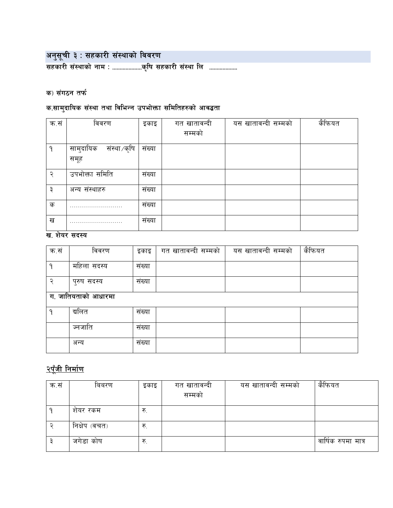अनुसूची ३ : सहकारी संस्थाको विवरण<br>सहकारी संस्थाको नाम : .......................कृषि सहकारी संस्था लि ...................

### क) संगठन तर्फ

# क.सामुदायिक संस्था तथा विभिन्न उपभोक्ता समितिहरुको आवद्धता

| क.सं | विवरण                     | इकाइ   | गत खातावन्दी | यस खातावन्दी सम्मको | कैफियत |
|------|---------------------------|--------|--------------|---------------------|--------|
|      |                           |        | सम्मको       |                     |        |
| Q    | सामुदायिक<br>संस्था ⁄कृषि | संख्या |              |                     |        |
|      | समूह                      |        |              |                     |        |
| ς    | उपभोक्ता समिति            | संख्या |              |                     |        |
| ₹    | अन्य संस्थाहरु            | संख्या |              |                     |        |
| क    |                           | संख्या |              |                     |        |
| ख    |                           | संख्या |              |                     |        |

#### ख. शेयर सदस्य

| क.सं | विवरण               | इकाइ              | गत खातावन्दी सम्मको | यस खातावन्दी सम्मको | केफियत |
|------|---------------------|-------------------|---------------------|---------------------|--------|
| ٩    | महिला सदस्य         | $\cdot$<br>संख्या |                     |                     |        |
| ຈ    | पुरुष सदस्य         | संख्या            |                     |                     |        |
|      | ग. जातियताको आधारमा |                   |                     |                     |        |
| ٩    | द्यलित              | संख्या            |                     |                     |        |
|      | ज्नजाति             | संख्या            |                     |                     |        |
|      | अन्य                | संख्या            |                     |                     |        |

# २पूँजी निर्माण

| क.सं | बिबरण         | इकाइ | गत खातावन्दी<br>सम्मका | यस खातावन्दी सम्मको | कैफियत              |
|------|---------------|------|------------------------|---------------------|---------------------|
|      | शेयर रकम      | रु.  |                        |                     |                     |
|      | निक्षेप (वचत) | रु.  |                        |                     |                     |
|      | जगेडा कोष     | रु.  |                        |                     | वार्षिक रुपमा मात्र |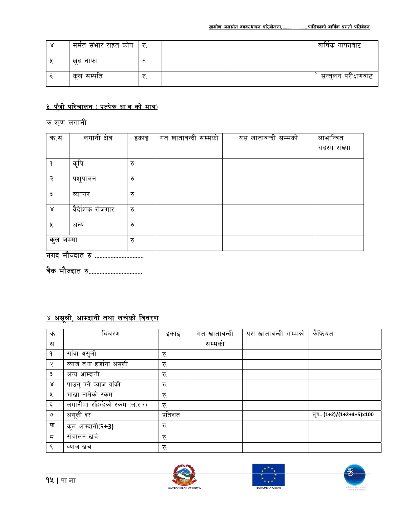| मर्मत संभार राहत कोष   रु. |  | वार्षिक नाफावाट    |
|----------------------------|--|--------------------|
| खुद नाफा                   |  |                    |
| कल सम्पति                  |  | सन्तुलन परीक्षणवाट |

# <u>३. पूँजी परिचालन ( प्रत्येक आ.व को मात्र)</u>

क.ऋण लगानी

| क.सं                      | लगानी क्षेत्र  | इकाइ | गत खातावन्दी सम्मको | यस खातावन्दी सम्मको | लाभान्वित    |
|---------------------------|----------------|------|---------------------|---------------------|--------------|
|                           |                |      |                     |                     | सदस्य संख्या |
| ۹                         | कृषि           | रु.  |                     |                     |              |
| ্                         | पशुपालन        | रु.  |                     |                     |              |
| ३                         | व्यापार        | रु.  |                     |                     |              |
| $\propto$                 | वैदेशिक रोजगार | रु.  |                     |                     |              |
| ५                         | अन्य           | रु.  |                     |                     |              |
| कुल जम्मा<br>$\mathbf{z}$ |                | रु.  |                     |                     |              |

वैक मौज्दात रु...................................

# <u>४ असूली, आम्दानी तथा खर्चको विवरण</u>

| क.             | बिबरण                        | इकाइ    | गत खातावन्दी | यस खातावन्दी सम्मको | कैफियत                     |
|----------------|------------------------------|---------|--------------|---------------------|----------------------------|
| सं             |                              |         | सम्मको       |                     |                            |
| ٩              | सांवा असूली                  | रु.     |              |                     |                            |
| २              | व्याज तथा हर्जाना असूली      | रु.     |              |                     |                            |
| ३              | अन्य आम्दानी                 | रु.     |              |                     |                            |
| $\propto$      | पाउनु पर्ने व्याज वांकी      | रु.     |              |                     |                            |
| ५              | भाखा नाधेको रकम              | रु.     |              |                     |                            |
| ६              | लगानीमा रहिरहेको रकम (ल.र.र) | रु.     |              |                     |                            |
| ৩              | असूली दर                     | प्रतिशत |              |                     | सूत्र= (1+2)/(1+2+4+5)x100 |
| क              | कूल आम्दानी(२ <b>+3)</b>     | रु.     |              |                     |                            |
| $\overline{5}$ | संचालन खर्च                  | रु.     |              |                     |                            |
| ९              | व्याज खर्च                   | रु.     |              |                     |                            |





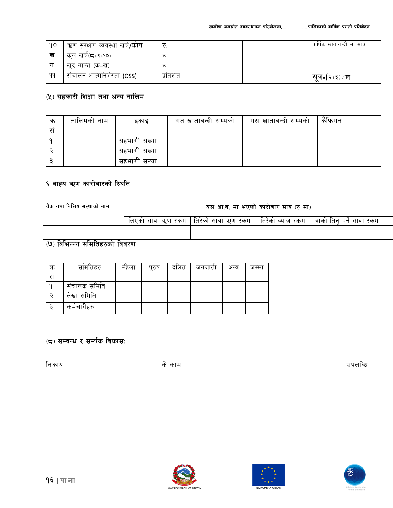| 90 | ऋण सुरक्षण व्यवस्था खर्च/कोष | रू.     |  | वार्षिक खातावन्दी मा मात्र |
|----|------------------------------|---------|--|----------------------------|
| ख  | कूल खर्च(द+९+१०)             |         |  |                            |
|    | खुद नाफा ( <b>क-ख</b> )      | रु      |  |                            |
| 99 | संचालन आत्मनिर्भरता (OSS)    | प्रतिशत |  | सूत्र⊧(२+३) ⁄ ख            |

## (५) सहकारी शिक्षा तथा अन्य तालिम

| क्र | तालिमको नाम | इकाइ          | गत खातावन्दी सम्मको | यस खातावन्दी सम्मको | कैफियत |
|-----|-------------|---------------|---------------------|---------------------|--------|
| स   |             |               |                     |                     |        |
|     |             | सहभागी संख्या |                     |                     |        |
|     |             | सहभागी संख्या |                     |                     |        |
|     |             | सहभागी संख्या |                     |                     |        |

#### ६ वाह्य ऋण कारोवारको स्थिति

| वैंक तथा वित्तिय संस्थाको नाम | यस आ.व. मा भएको कारोवार मात्र (रु मा) |                                                             |  |                                 |  |  |
|-------------------------------|---------------------------------------|-------------------------------------------------------------|--|---------------------------------|--|--|
|                               |                                       | लिएको सांवा ऋण रकम   तिरेको सांवा ऋण रकम   तिरेको व्याज रकम |  | ं   वांकी तिर्न पर्ने सांवा रकम |  |  |
|                               |                                       |                                                             |  |                                 |  |  |

## (७) विभिन्न्न समितिहरुको विवरण

| ক. | समितिहरु     | महला | पुरुष | दालत | जनजाती | अन्य | जम्मा |
|----|--------------|------|-------|------|--------|------|-------|
| सं |              |      |       |      |        |      |       |
|    | संचालक समिति |      |       |      |        |      |       |
|    | लेखा समिति   |      |       |      |        |      |       |
|    | कर्मचारीहरु  |      |       |      |        |      |       |

## (८) सम्बन्ध र सर्म्पक विकास:

निकाय

के काम

उपलब्धि





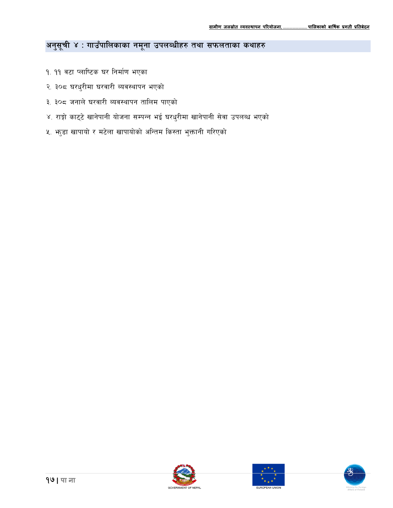# अनुसूची ४ : गाउँपालिकाका नमूना उपलब्धीहरु तथा सफलताका कथाहरु

- १. ११ वटा प्लाष्टिक घर निर्माण भएका
- २. ३०८ घरधुरीमा घरवारी ब्यवस्थापन भएको
- ३. ३०८ जनाले घरवारी ब्यवस्थापन तालिम पाएको
- ४. राङ्गो काट्टे खानेपानी योजना सम्पन्न भई घरधुरीमा खानेपानी सेवा उपलब्ध भएको
- ५. भाडा खापायो र मटेला खापायोको अन्तिम किस्ता भुक्तानी गरिएको





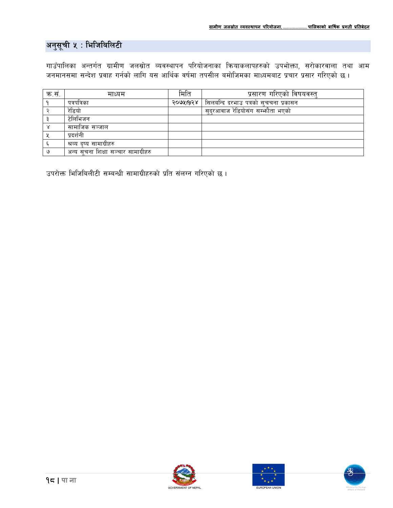# अनुसूची ५ : भिजिबिलिटी

गाउँपालिका अन्तर्गत ग्रामीण जलस्रोत व्यवस्थापन परियोजनाका क्रियाकलापहरुको उपभोक्ता, सरोकारवाला तथा आम जनमानसमा सन्देश प्रवाह गर्नको लागि यस आर्थिक वर्षमा तपसील बमोजिमका माध्यमबाट प्रचार प्रसार गरिएको छ ।

| क.स | माध्यम                              | मिति     | प्रसारण गरिएको विषयवस्त्             |
|-----|-------------------------------------|----------|--------------------------------------|
|     | पत्रपत्रिका                         | २०७५।१२४ | सिलबन्दि दरभाउ पत्रको सुचचना प्रकासन |
|     | रेडियो                              |          | सुदरआवाज रेडियोसंग सम्भौता भएको      |
|     | टेलिभिजन                            |          |                                      |
|     | सामाजिक सञ्जाल                      |          |                                      |
|     | प्रदर्शनी                           |          |                                      |
|     | श्रव्य दष्य सामाग्रीहरु             |          |                                      |
|     | अन्य सचना शिक्षा सञ्चार सामाग्रीहरु |          |                                      |

उपरोक्त भिजिबिलीटी सम्बन्धी सामाग्रीहरुको प्रति संलग्न गरिएको छ।